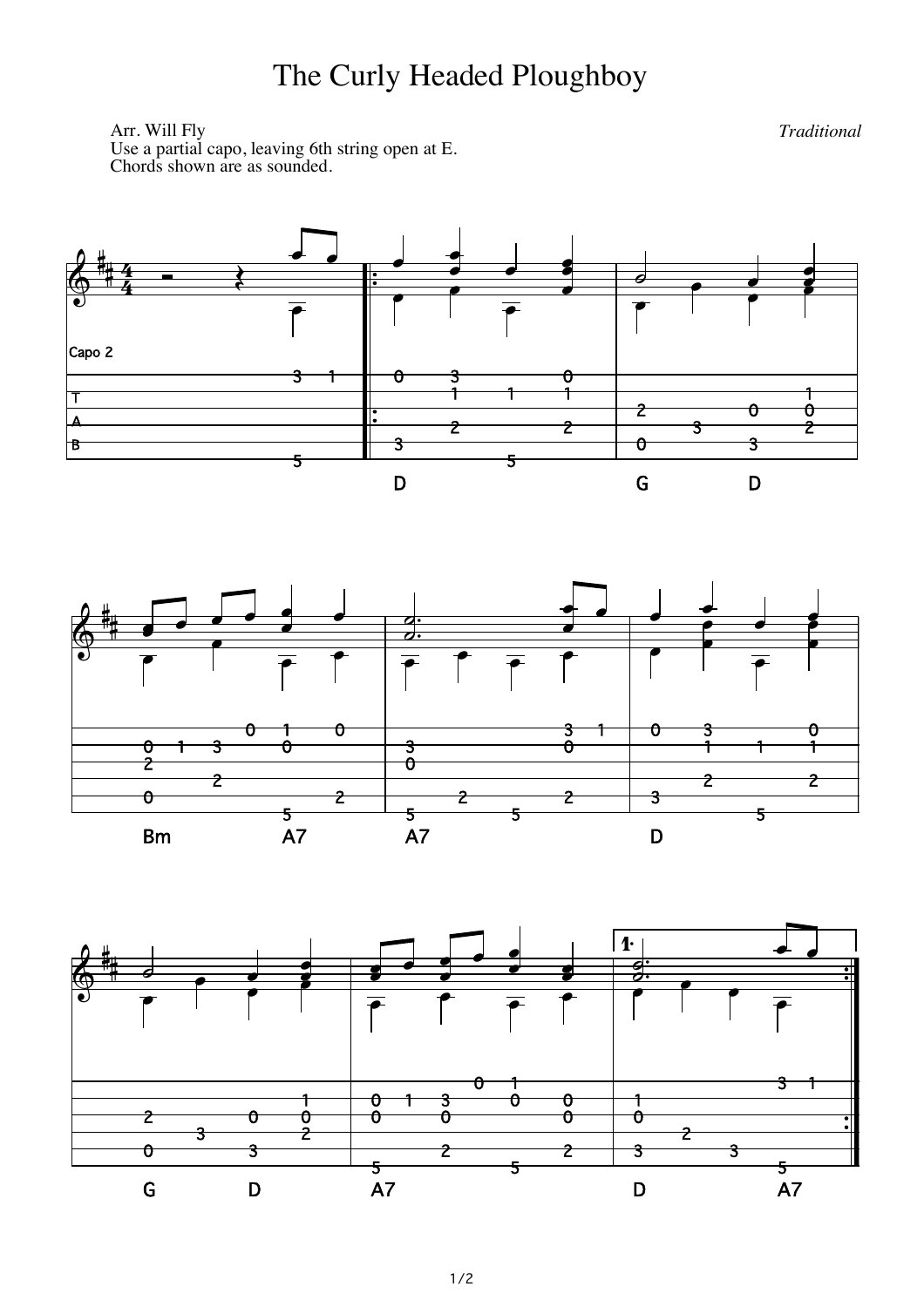## The Curly Headed Ploughboy

Arr. Will Fly Use a partial capo, leaving 6th string open at E.<br>Chords shown are as sounded.